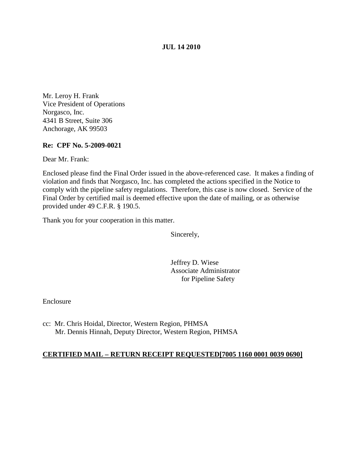#### **JUL 14 2010**

Mr. Leroy H. Frank Vice President of Operations Norgasco, Inc. 4341 B Street, Suite 306 Anchorage, AK 99503

#### **Re: CPF No. 5-2009-0021**

Dear Mr. Frank:

Enclosed please find the Final Order issued in the above-referenced case. It makes a finding of violation and finds that Norgasco, Inc. has completed the actions specified in the Notice to comply with the pipeline safety regulations. Therefore, this case is now closed. Service of the Final Order by certified mail is deemed effective upon the date of mailing, or as otherwise provided under 49 C.F.R. § 190.5.

Thank you for your cooperation in this matter.

Sincerely,

Jeffrey D. Wiese Associate Administrator for Pipeline Safety

Enclosure

cc: Mr. Chris Hoidal, Director, Western Region, PHMSA Mr. Dennis Hinnah, Deputy Director, Western Region, PHMSA

## **CERTIFIED MAIL – RETURN RECEIPT REQUESTED[7005 1160 0001 0039 0690]**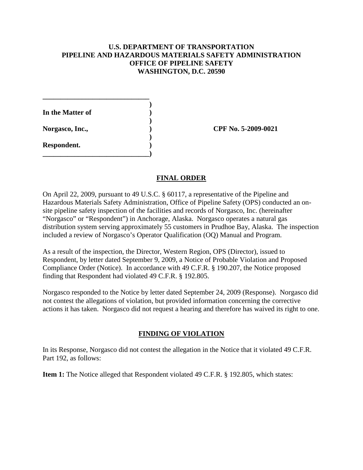# **U.S. DEPARTMENT OF TRANSPORTATION PIPELINE AND HAZARDOUS MATERIALS SAFETY ADMINISTRATION OFFICE OF PIPELINE SAFETY WASHINGTON, D.C. 20590**

**) In the Matter of ) ) Norgasco, Inc., ) CPF No. 5-2009-0021 ) Respondent. ) \_\_\_\_\_\_\_\_\_\_\_\_\_\_\_\_\_\_\_\_\_\_\_\_\_\_\_\_\_\_)**

**\_\_\_\_\_\_\_\_\_\_\_\_\_\_\_\_\_\_\_\_\_\_\_\_\_\_\_\_\_\_**

## **FINAL ORDER**

On April 22, 2009, pursuant to 49 U.S.C. § 60117, a representative of the Pipeline and Hazardous Materials Safety Administration, Office of Pipeline Safety (OPS) conducted an onsite pipeline safety inspection of the facilities and records of Norgasco, Inc. (hereinafter "Norgasco" or "Respondent") in Anchorage, Alaska. Norgasco operates a natural gas distribution system serving approximately 55 customers in Prudhoe Bay, Alaska. The inspection included a review of Norgasco's Operator Qualification (OQ) Manual and Program.

As a result of the inspection, the Director, Western Region, OPS (Director), issued to Respondent, by letter dated September 9, 2009, a Notice of Probable Violation and Proposed Compliance Order (Notice). In accordance with 49 C.F.R. § 190.207, the Notice proposed finding that Respondent had violated 49 C.F.R. § 192.805.

Norgasco responded to the Notice by letter dated September 24, 2009 (Response). Norgasco did not contest the allegations of violation, but provided information concerning the corrective actions it has taken. Norgasco did not request a hearing and therefore has waived its right to one.

## **FINDING OF VIOLATION**

In its Response, Norgasco did not contest the allegation in the Notice that it violated 49 C.F.R. Part 192, as follows:

**Item 1:** The Notice alleged that Respondent violated 49 C.F.R. § 192.805, which states: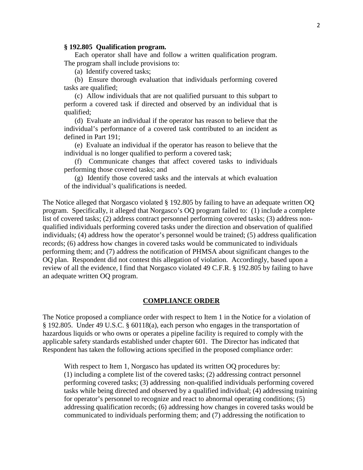#### **§ 192.805 Qualification program.**

Each operator shall have and follow a written qualification program. The program shall include provisions to:

(a) Identify covered tasks;

(b) Ensure thorough evaluation that individuals performing covered tasks are qualified;

(c) Allow individuals that are not qualified pursuant to this subpart to perform a covered task if directed and observed by an individual that is qualified;

(d) Evaluate an individual if the operator has reason to believe that the individual's performance of a covered task contributed to an incident as defined in Part 191;

(e) Evaluate an individual if the operator has reason to believe that the individual is no longer qualified to perform a covered task;

(f) Communicate changes that affect covered tasks to individuals performing those covered tasks; and

(g) Identify those covered tasks and the intervals at which evaluation of the individual's qualifications is needed.

The Notice alleged that Norgasco violated § 192.805 by failing to have an adequate written OQ program. Specifically, it alleged that Norgasco's OQ program failed to: (1) include a complete list of covered tasks; (2) address contract personnel performing covered tasks; (3) address nonqualified individuals performing covered tasks under the direction and observation of qualified individuals; (4) address how the operator's personnel would be trained; (5) address qualification records; (6) address how changes in covered tasks would be communicated to individuals performing them; and (7) address the notification of PHMSA about significant changes to the OQ plan. Respondent did not contest this allegation of violation. Accordingly, based upon a review of all the evidence, I find that Norgasco violated 49 C.F.R. § 192.805 by failing to have an adequate written OQ program.

#### **COMPLIANCE ORDER**

The Notice proposed a compliance order with respect to Item 1 in the Notice for a violation of § 192.805. Under 49 U.S.C. § 60118(a), each person who engages in the transportation of hazardous liquids or who owns or operates a pipeline facility is required to comply with the applicable safety standards established under chapter 601. The Director has indicated that Respondent has taken the following actions specified in the proposed compliance order:

With respect to Item 1, Norgasco has updated its written OQ procedures by: (1) including a complete list of the covered tasks; (2) addressing contract personnel performing covered tasks; (3) addressing non-qualified individuals performing covered tasks while being directed and observed by a qualified individual; (4) addressing training for operator's personnel to recognize and react to abnormal operating conditions; (5) addressing qualification records; (6) addressing how changes in covered tasks would be communicated to individuals performing them; and (7) addressing the notification to